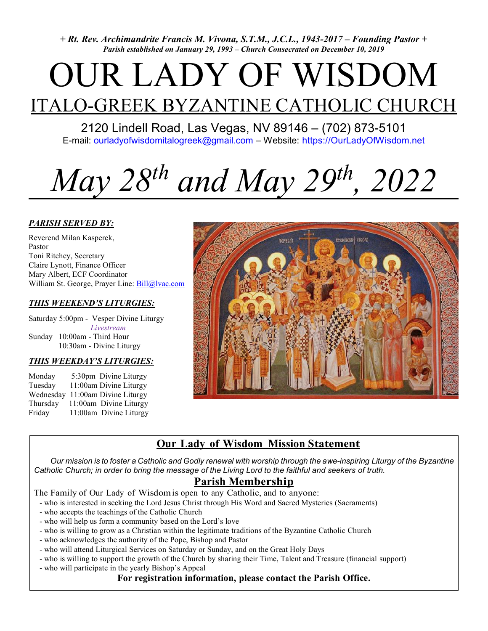+ Rt. Rev. Archimandrite Francis M. Vivona, S.T.M., J.C.L., 1943-2017 – Founding Pastor + Parish established on January 29, 1993 – Church Consecrated on December 10, 2019

# OUR LADY OF WISDOM ITALO-GREEK BYZANTINE CATHOLIC CHURCH

2120 Lindell Road, Las Vegas, NV 89146 – (702) 873-5101 E-mail: ourladyofwisdomitalogreek@gmail.com - Website: https://OurLadyOfWisdom.net

# May  $28^{th}$  and May  $29^{th}$ ,  $2022$

### PARISH SERVED BY:

Reverend Milan Kasperek, Pastor Toni Ritchey, Secretary Claire Lynott, Finance Officer Mary Albert, ECF Coordinator William St. George, Prayer Line: Bill@lvac.com

#### THIS WEEKEND'S LITURGIES:

Saturday 5:00pm - Vesper Divine Liturgy Livestream Sunday 10:00am - Third Hour 10:30am - Divine Liturgy

#### THIS WEEKDAY'S LITURGIES:

| 5:30pm Divine Liturgy  |
|------------------------|
| 11:00am Divine Liturgy |
| 11:00am Divine Liturgy |
| 11:00am Divine Liturgy |
| 11:00am Divine Liturgy |
|                        |



# Our Lady of Wisdom Mission Statement

 Our mission is to foster a Catholic and Godly renewal with worship through the awe-inspiring Liturgy of the Byzantine Catholic Church; in order to bring the message of the Living Lord to the faithful and seekers of truth.

# Parish Membership

The Family of Our Lady of Wisdom is open to any Catholic, and to anyone:

- who is interested in seeking the Lord Jesus Christ through His Word and Sacred Mysteries (Sacraments)
- who accepts the teachings of the Catholic Church
- who will help us form a community based on the Lord's love
- who is willing to grow as a Christian within the legitimate traditions of the Byzantine Catholic Church
- who acknowledges the authority of the Pope, Bishop and Pastor
- who will attend Liturgical Services on Saturday or Sunday, and on the Great Holy Days
- who is willing to support the growth of the Church by sharing their Time, Talent and Treasure (financial support)
- who will participate in the yearly Bishop's Appeal

#### For registration information, please contact the Parish Office.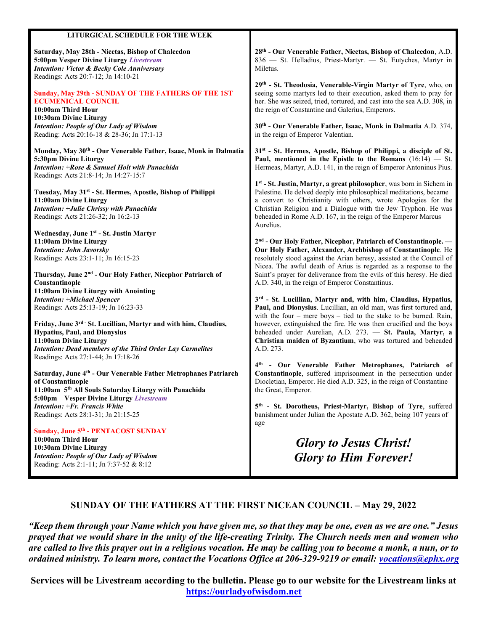| LITURGICAL SCHEDULE FOR THE WEEK                                                                                                                                                                                                         |                                                                                                                                                                                                                                                                                                                                                                                                                      |
|------------------------------------------------------------------------------------------------------------------------------------------------------------------------------------------------------------------------------------------|----------------------------------------------------------------------------------------------------------------------------------------------------------------------------------------------------------------------------------------------------------------------------------------------------------------------------------------------------------------------------------------------------------------------|
| Saturday, May 28th - Nicetas, Bishop of Chalcedon<br>5:00pm Vesper Divine Liturgy Livestream<br><b>Intention: Victor &amp; Becky Cole Anniversary</b><br>Readings: Acts 20:7-12; Jn 14:10-21                                             | 28 <sup>th</sup> - Our Venerable Father, Nicetas, Bishop of Chalcedon, A.D.<br>836 - St. Helladius, Priest-Martyr. - St. Eutyches, Martyr in<br>Miletus.                                                                                                                                                                                                                                                             |
| <b>Sunday, May 29th - SUNDAY OF THE FATHERS OF THE 1ST</b><br><b>ECUMENICAL COUNCIL</b><br>10:00am Third Hour                                                                                                                            | 29th - St. Theodosia, Venerable-Virgin Martyr of Tyre, who, on<br>seeing some martyrs led to their execution, asked them to pray for<br>her. She was seized, tried, tortured, and cast into the sea A.D. 308, in<br>the reign of Constantine and Galerius, Emperors.                                                                                                                                                 |
| 10:30am Divine Liturgy<br><b>Intention: People of Our Lady of Wisdom</b><br>Reading: Acts 20:16-18 & 28-36; Jn 17:1-13                                                                                                                   | 30 <sup>th</sup> - Our Venerable Father, Isaac, Monk in Dalmatia A.D. 374,<br>in the reign of Emperor Valentian.                                                                                                                                                                                                                                                                                                     |
| Monday, May 30th - Our Venerable Father, Isaac, Monk in Dalmatia<br>5:30pm Divine Liturgy<br><b>Intention: +Rose &amp; Samuel Holt with Panachida</b>                                                                                    | 31 <sup>st</sup> - St. Hermes, Apostle, Bishop of Philippi, a disciple of St.<br>Paul, mentioned in the Epistle to the Romans $(16:14)$ - St.<br>Hermeas, Martyr, A.D. 141, in the reign of Emperor Antoninus Pius.                                                                                                                                                                                                  |
| Readings: Acts 21:8-14; Jn 14:27-15:7<br>Tuesday, May 31 <sup>st</sup> - St. Hermes, Apostle, Bishop of Philippi<br>11:00am Divine Liturgy<br><b>Intention: +Julie Chrissy with Panachida</b><br>Readings: Acts 21:26-32; Jn 16:2-13     | 1 <sup>st</sup> - St. Justin, Martyr, a great philosopher, was born in Sichem in<br>Palestine. He delved deeply into philosophical meditations, became<br>a convert to Christianity with others, wrote Apologies for the<br>Christian Religion and a Dialogue with the Jew Tryphon. He was<br>beheaded in Rome A.D. 167, in the reign of the Emperor Marcus<br>Aurelius.                                             |
| Wednesday, June 1st - St. Justin Martyr<br>11:00am Divine Liturgy<br><b>Intention: John Javorsky</b><br>Readings: Acts 23:1-11; Jn 16:15-23<br>Thursday, June 2 <sup>nd</sup> - Our Holy Father, Nicephor Patriarch of<br>Constantinople | 2 <sup>nd</sup> - Our Holy Father, Nicephor, Patriarch of Constantinople. —<br>Our Holy Father, Alexander, Archbishop of Constantinople. He<br>resolutely stood against the Arian heresy, assisted at the Council of<br>Nicea. The awful death of Arius is regarded as a response to the<br>Saint's prayer for deliverance from the evils of this heresy. He died<br>A.D. 340, in the reign of Emperor Constantinus. |
| 11:00am Divine Liturgy with Anointing<br><b>Intention: +Michael Spencer</b><br>Readings: Acts 25:13-19; Jn 16:23-33                                                                                                                      | 3rd - St. Lucillian, Martyr and, with him, Claudius, Hypatius,<br>Paul, and Dionysius. Lucillian, an old man, was first tortured and,<br>with the four $-$ mere boys $-$ tied to the stake to be burned. Rain,                                                                                                                                                                                                       |
| Friday, June 3rd - St. Lucillian, Martyr and with him, Claudius,<br><b>Hypatius, Paul, and Dionysius</b><br>11:00am Divine Liturgy<br><b>Intention: Dead members of the Third Order Lay Carmelites</b>                                   | however, extinguished the fire. He was then crucified and the boys<br>beheaded under Aurelian, A.D. 273. - St. Paula, Martyr, a<br>Christian maiden of Byzantium, who was tortured and beheaded<br>A.D. 273.                                                                                                                                                                                                         |
| Readings: Acts 27:1-44; Jn 17:18-26<br>Saturday, June 4 <sup>th</sup> - Our Venerable Father Metrophanes Patriarch<br>of Constantinople<br>11:00am 5 <sup>th</sup> All Souls Saturday Liturgy with Panachida                             | 4th - Our Venerable Father Metrophanes, Patriarch of<br>Constantinople, suffered imprisonment in the persecution under<br>Diocletian, Emperor. He died A.D. 325, in the reign of Constantine<br>the Great, Emperor.                                                                                                                                                                                                  |
| 5:00pm Vesper Divine Liturgy Livestream<br>Intention: +Fr. Francis White<br>Readings: Acts 28:1-31; Jn 21:15-25                                                                                                                          | 5th - St. Dorotheus, Priest-Martyr, Bishop of Tyre, suffered<br>banishment under Julian the Apostate A.D. 362, being 107 years of<br>age                                                                                                                                                                                                                                                                             |
| Sunday, June 5th - PENTACOST SUNDAY<br>10:00am Third Hour                                                                                                                                                                                | <b>Glory to Jesus Christ!</b>                                                                                                                                                                                                                                                                                                                                                                                        |
| 10:30am Divine Liturgy<br><b>Intention: People of Our Lady of Wisdom</b>                                                                                                                                                                 | <b>Glory to Him Forever!</b>                                                                                                                                                                                                                                                                                                                                                                                         |

#### SUNDAY OF THE FATHERS AT THE FIRST NICEAN COUNCIL – May 29, 2022

Reading: Acts 2:1-11; Jn 7:37-52 & 8:12

"Keep them through your Name which you have given me, so that they may be one, even as we are one." Jesus prayed that we would share in the unity of the life-creating Trinity. The Church needs men and women who are called to live this prayer out in a religious vocation. He may be calling you to become a monk, a nun, or to ordained ministry. To learn more, contact the Vocations Office at 206-329-9219 or email: vocations@ephx.org

Services will be Livestream according to the bulletin. Please go to our website for the Livestream links at https://ourladyofwisdom.net